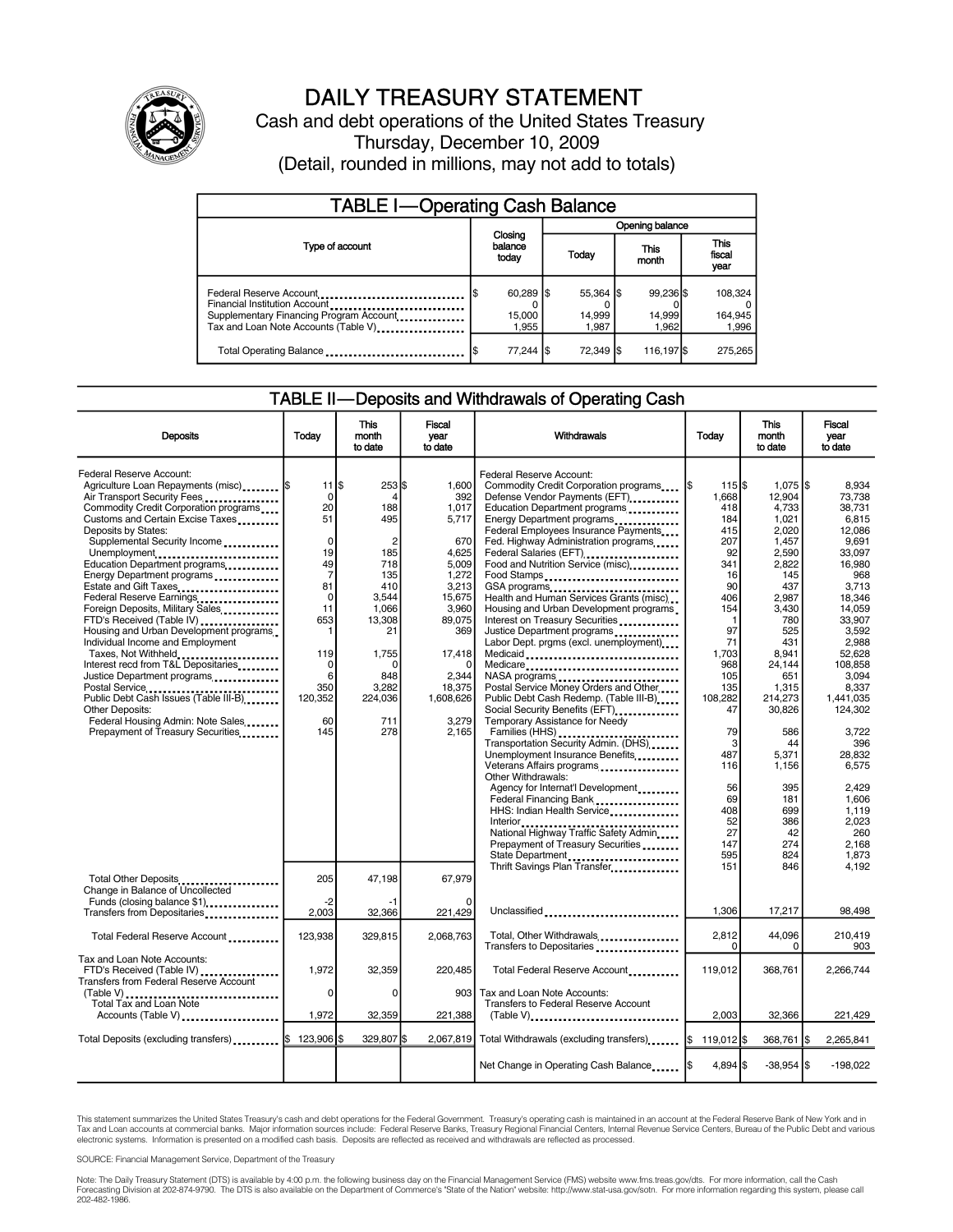

## DAILY TREASURY STATEMENT

Cash and debt operations of the United States Treasury Thursday, December 10, 2009 (Detail, rounded in millions, may not add to totals)

| <b>TABLE I-Operating Cash Balance</b>                                                                                                                                      |  |                                        |  |                              |               |                              |  |                               |
|----------------------------------------------------------------------------------------------------------------------------------------------------------------------------|--|----------------------------------------|--|------------------------------|---------------|------------------------------|--|-------------------------------|
|                                                                                                                                                                            |  |                                        |  | <b>Opening balance</b>       |               |                              |  |                               |
| Type of account                                                                                                                                                            |  | Closing<br>balance<br>today            |  | Today                        | This<br>month |                              |  | <b>This</b><br>fiscal<br>year |
| Federal Reserve Account<br>Financial Institution Account<br>Supplementary Financing Program Account<br>Tax and Loan Note Accounts (Table V) <sub>-------------------</sub> |  | $60,289$ $\sqrt{5}$<br>15,000<br>1.955 |  | 55,364 \$<br>14,999<br>1.987 |               | 99.236 \$<br>14,999<br>1.962 |  | 108,324<br>164,945<br>1,996   |
| Total Operating Balance                                                                                                                                                    |  | 77,244 \$                              |  | 72,349 \$                    |               | 116,197 \$                   |  | 275.265                       |

#### TABLE II—Deposits and Withdrawals of Operating Cash

| <b>Deposits</b>                                                                                                                                                                                                                                                                                                                                                                                                                                                                                                                                                                                                                                                                                                                                                                       | Todav                                                                                                                                                                | <b>This</b><br>month<br>to date                                                                                                                                     | <b>Fiscal</b><br>year<br>to date                                                                                                                                          | Withdrawals                                                                                                                                                                                                                                                                                                                                                                                                                                                                                                                                                                                                                                                                                                                                                                                                                                                                                                                                                                                                                                                                                                                                                                                                                                                                                                                                                | Today                                                                                                                                                                                                                             | <b>This</b><br>month<br>to date                                                                                                                                                                                                                                        | <b>Fiscal</b><br>vear<br>to date                                                                                                                                                                                                                                                                         |
|---------------------------------------------------------------------------------------------------------------------------------------------------------------------------------------------------------------------------------------------------------------------------------------------------------------------------------------------------------------------------------------------------------------------------------------------------------------------------------------------------------------------------------------------------------------------------------------------------------------------------------------------------------------------------------------------------------------------------------------------------------------------------------------|----------------------------------------------------------------------------------------------------------------------------------------------------------------------|---------------------------------------------------------------------------------------------------------------------------------------------------------------------|---------------------------------------------------------------------------------------------------------------------------------------------------------------------------|------------------------------------------------------------------------------------------------------------------------------------------------------------------------------------------------------------------------------------------------------------------------------------------------------------------------------------------------------------------------------------------------------------------------------------------------------------------------------------------------------------------------------------------------------------------------------------------------------------------------------------------------------------------------------------------------------------------------------------------------------------------------------------------------------------------------------------------------------------------------------------------------------------------------------------------------------------------------------------------------------------------------------------------------------------------------------------------------------------------------------------------------------------------------------------------------------------------------------------------------------------------------------------------------------------------------------------------------------------|-----------------------------------------------------------------------------------------------------------------------------------------------------------------------------------------------------------------------------------|------------------------------------------------------------------------------------------------------------------------------------------------------------------------------------------------------------------------------------------------------------------------|----------------------------------------------------------------------------------------------------------------------------------------------------------------------------------------------------------------------------------------------------------------------------------------------------------|
| Federal Reserve Account:<br>Agriculture Loan Repayments (misc)  \$<br>Air Transport Security Fees<br>Commodity Credit Corporation programs<br>Customs and Certain Excise Taxes<br>Deposits by States:<br>Supplemental Security Income<br>Unemployment<br>Education Department programs<br>Energy Department programs<br>Estate and Gift Taxes<br>Federal Reserve Earnings<br>Foreign Deposits, Military Sales<br>FTD's Received (Table IV)<br>Housing and Urban Development programs.<br>Individual Income and Employment<br>Taxes, Not Withheld<br>Interest recd from T&L Depositaries<br>Justice Department programs<br>Postal Service<br>Public Debt Cash Issues (Table III-B)<br><b>Other Deposits:</b><br>Federal Housing Admin: Note Sales<br>Prepayment of Treasury Securities | $11$ $\sqrt{3}$<br>0<br>20<br>51<br>$\mathbf 0$<br>19<br>49<br>$\overline{7}$<br>81<br>$\mathbf 0$<br>11<br>653<br>1<br>119<br>0<br>6<br>350<br>120,352<br>60<br>145 | $253$ $$$<br>4<br>188<br>495<br>$\overline{2}$<br>185<br>718<br>135<br>410<br>3,544<br>1,066<br>13,308<br>21<br>1,755<br>0<br>848<br>3,282<br>224,036<br>711<br>278 | 1,600<br>392<br>1,017<br>5,717<br>670<br>4,625<br>5,009<br>1,272<br>3,213<br>15,675<br>3,960<br>89,075<br>369<br>17,418<br>2,344<br>18,375<br>1,608,626<br>3.279<br>2,165 | Federal Reserve Account:<br>Commodity Credit Corporation programs<br>Defense Vendor Payments (EFT)<br>Education Department programs<br>Energy Department programs<br>Federal Employees Insurance Payments<br>Fed. Highway Administration programs<br>Federal Salaries (EFT) <b></b><br>Food and Nutrition Service (misc)<br>Food Stamps<br>GSA programs<br>Health and Human Services Grants (misc)<br>Housing and Urban Development programs<br>Interest on Treasury Securities<br>Justice Department programs<br>Labor Dept. prgms (excl. unemployment)<br>Medicaid<br>Medicare<br>NASA programs<br>Postal Service Money Orders and Other<br>Public Debt Cash Redemp. (Table III-B)<br>Social Security Benefits (EFT)<br>Temporary Assistance for Needy<br>Families (HHS) <b>And All American Street Families</b><br>Transportation Security Admin. (DHS)<br>Unemployment Insurance Benefits<br>Veterans Affairs programs<br>Other Withdrawals:<br>Agency for Internat'l Development.<br>Federal Financing Bank<br>1999: The Manus Federal Manus Financial State and Turn and Turn and Turn and Turn and Turn and Turn and Turn and Turn and Turn and Turn and Turn and Turn and Turn and Turn and Turn and Turn and Turn<br>HHS: Indian Health Service<br>National Highway Traffic Safety Admin<br>Prepayment of Treasury Securities<br>State Department | 115S<br>1,668<br>418<br>184<br>415<br>207<br>92<br>341<br>16<br>90<br>406<br>154<br>$\mathbf{1}$<br>97<br>71<br>1,703<br>968<br>105<br>135<br>108,282<br>47<br>79<br>3<br>487<br>116<br>56<br>69<br>408<br>52<br>27<br>147<br>595 | $1,075$ \$<br>12,904<br>4,733<br>1,021<br>2.020<br>1,457<br>2,590<br>2,822<br>145<br>437<br>2,987<br>3,430<br>780<br>525<br>431<br>8.941<br>24,144<br>651<br>1,315<br>214,273<br>30,826<br>586<br>44<br>5,371<br>1,156<br>395<br>181<br>699<br>386<br>42<br>274<br>824 | 8,934<br>73.738<br>38,731<br>6.815<br>12.086<br>9.691<br>33,097<br>16.980<br>968<br>3.713<br>18.346<br>14,059<br>33,907<br>3,592<br>2.988<br>52.628<br>108,858<br>3,094<br>8,337<br>1.441.035<br>124,302<br>3,722<br>396<br>28.832<br>6,575<br>2,429<br>1,606<br>1,119<br>2.023<br>260<br>2.168<br>1,873 |
| Total Other Deposits<br>Change in Balance of Uncollected<br>Funds (closing balance \$1)                                                                                                                                                                                                                                                                                                                                                                                                                                                                                                                                                                                                                                                                                               | 205<br>$-2$<br>2.003                                                                                                                                                 | 47,198<br>-1<br>32,366                                                                                                                                              | 67,979<br>221.429                                                                                                                                                         | Thrift Savings Plan Transfer<br>Unclassified                                                                                                                                                                                                                                                                                                                                                                                                                                                                                                                                                                                                                                                                                                                                                                                                                                                                                                                                                                                                                                                                                                                                                                                                                                                                                                               | 151<br>1,306                                                                                                                                                                                                                      | 846<br>17,217                                                                                                                                                                                                                                                          | 4,192<br>98,498                                                                                                                                                                                                                                                                                          |
| Transfers from Depositaries<br>Total Federal Reserve Account                                                                                                                                                                                                                                                                                                                                                                                                                                                                                                                                                                                                                                                                                                                          | 123,938                                                                                                                                                              | 329,815                                                                                                                                                             | 2,068,763                                                                                                                                                                 | Total, Other Withdrawals                                                                                                                                                                                                                                                                                                                                                                                                                                                                                                                                                                                                                                                                                                                                                                                                                                                                                                                                                                                                                                                                                                                                                                                                                                                                                                                                   | 2,812                                                                                                                                                                                                                             | 44,096                                                                                                                                                                                                                                                                 | 210,419                                                                                                                                                                                                                                                                                                  |
| Tax and Loan Note Accounts:<br>FTD's Received (Table IV)<br><b>Transfers from Federal Reserve Account</b><br>(Table V)<br><b>Total Tax and Loan Note</b><br>Accounts (Table V)                                                                                                                                                                                                                                                                                                                                                                                                                                                                                                                                                                                                        | 1.972<br>0<br>1,972                                                                                                                                                  | 32,359<br>$\mathbf 0$<br>32,359                                                                                                                                     | 220.485<br>903<br>221,388                                                                                                                                                 | Transfers to Depositaries<br>Total Federal Reserve Account<br>Tax and Loan Note Accounts:<br>Transfers to Federal Reserve Account<br>$(Table V)$                                                                                                                                                                                                                                                                                                                                                                                                                                                                                                                                                                                                                                                                                                                                                                                                                                                                                                                                                                                                                                                                                                                                                                                                           | 0<br>119.012<br>2.003                                                                                                                                                                                                             | 0<br>368.761<br>32,366                                                                                                                                                                                                                                                 | 903<br>2.266.744<br>221,429                                                                                                                                                                                                                                                                              |
| Total Deposits (excluding transfers) [1001, 123,906 \$                                                                                                                                                                                                                                                                                                                                                                                                                                                                                                                                                                                                                                                                                                                                |                                                                                                                                                                      | 329.807 \$                                                                                                                                                          | 2,067,819                                                                                                                                                                 | Total Withdrawals (excluding transfers)  [\$ 119,012]\$                                                                                                                                                                                                                                                                                                                                                                                                                                                                                                                                                                                                                                                                                                                                                                                                                                                                                                                                                                                                                                                                                                                                                                                                                                                                                                    |                                                                                                                                                                                                                                   | 368,761   \$                                                                                                                                                                                                                                                           | 2,265,841                                                                                                                                                                                                                                                                                                |
|                                                                                                                                                                                                                                                                                                                                                                                                                                                                                                                                                                                                                                                                                                                                                                                       |                                                                                                                                                                      |                                                                                                                                                                     |                                                                                                                                                                           | Net Change in Operating Cash Balance                                                                                                                                                                                                                                                                                                                                                                                                                                                                                                                                                                                                                                                                                                                                                                                                                                                                                                                                                                                                                                                                                                                                                                                                                                                                                                                       | $4.894$ S                                                                                                                                                                                                                         | $-38,954$ \$                                                                                                                                                                                                                                                           | $-198,022$                                                                                                                                                                                                                                                                                               |

This statement summarizes the United States Treasury's cash and debt operations for the Federal Government. Treasury's operating cash is maintained in an account at the Federal Reserve Bank of New York and in<br>Tax and Loan

SOURCE: Financial Management Service, Department of the Treasury

Note: The Daily Treasury Statement (DTS) is available by 4:00 p.m. the following business day on the Financial Management Service (FMS) website www.fms.treas.gov/dts. For more information, call the Cash Forecasting Division at 202-874-9790. The DTS is also available on the Department of Commerce's "State of the Nation" website: http://www.stat-usa.gov/sotn. For more information regarding this system, please call<br>202-482-1